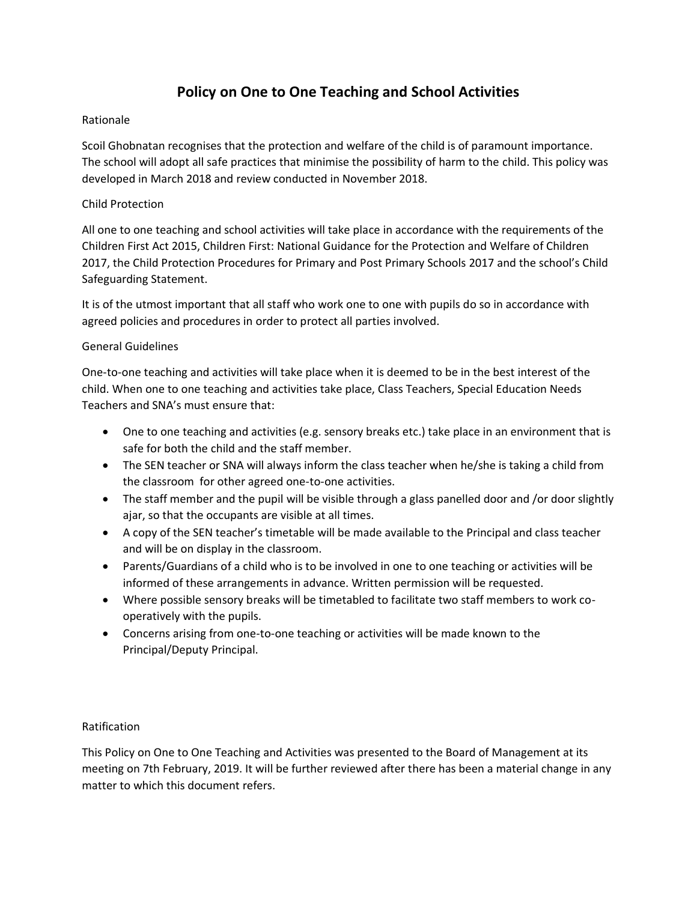# **Policy on One to One Teaching and School Activities**

## Rationale

Scoil Ghobnatan recognises that the protection and welfare of the child is of paramount importance. The school will adopt all safe practices that minimise the possibility of harm to the child. This policy was developed in March 2018 and review conducted in November 2018.

## Child Protection

All one to one teaching and school activities will take place in accordance with the requirements of the Children First Act 2015, Children First: National Guidance for the Protection and Welfare of Children 2017, the Child Protection Procedures for Primary and Post Primary Schools 2017 and the school's Child Safeguarding Statement.

It is of the utmost important that all staff who work one to one with pupils do so in accordance with agreed policies and procedures in order to protect all parties involved.

#### General Guidelines

One-to-one teaching and activities will take place when it is deemed to be in the best interest of the child. When one to one teaching and activities take place, Class Teachers, Special Education Needs Teachers and SNA's must ensure that:

- One to one teaching and activities (e.g. sensory breaks etc.) take place in an environment that is safe for both the child and the staff member.
- The SEN teacher or SNA will always inform the class teacher when he/she is taking a child from the classroom for other agreed one-to-one activities.
- The staff member and the pupil will be visible through a glass panelled door and /or door slightly ajar, so that the occupants are visible at all times.
- A copy of the SEN teacher's timetable will be made available to the Principal and class teacher and will be on display in the classroom.
- Parents/Guardians of a child who is to be involved in one to one teaching or activities will be informed of these arrangements in advance. Written permission will be requested.
- Where possible sensory breaks will be timetabled to facilitate two staff members to work cooperatively with the pupils.
- Concerns arising from one-to-one teaching or activities will be made known to the Principal/Deputy Principal.

#### Ratification

This Policy on One to One Teaching and Activities was presented to the Board of Management at its meeting on 7th February, 2019. It will be further reviewed after there has been a material change in any matter to which this document refers.